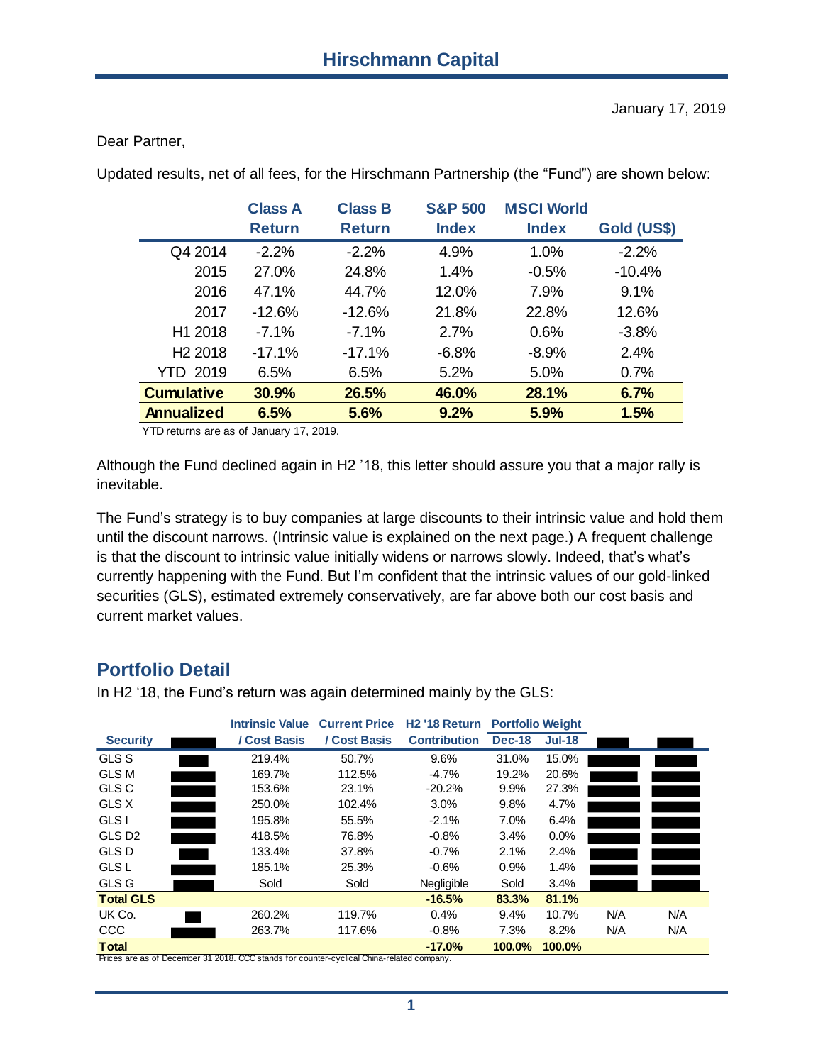#### Dear Partner,

Updated results, net of all fees, for the Hirschmann Partnership (the "Fund") are shown below:

| <b>Class A</b><br><b>Return</b> | <b>Class B</b><br><b>Return</b> | <b>S&amp;P 500</b><br><b>Index</b> | <b>MSCI World</b><br><b>Index</b> | Gold (US\$) |
|---------------------------------|---------------------------------|------------------------------------|-----------------------------------|-------------|
| $-2.2%$                         | $-2.2\%$                        | 4.9%                               | 1.0%                              | $-2.2\%$    |
| 27.0%                           | 24.8%                           | 1.4%                               | $-0.5\%$                          | $-10.4%$    |
| 47.1%                           | 44.7%                           | 12.0%                              | 7.9%                              | 9.1%        |
| $-12.6%$                        | $-12.6%$                        | 21.8%                              | 22.8%                             | 12.6%       |
| $-7.1\%$                        | $-7.1\%$                        | 2.7%                               | 0.6%                              | $-3.8%$     |
| $-17.1%$                        | $-17.1%$                        | $-6.8%$                            | $-8.9\%$                          | 2.4%        |
| 6.5%                            | $6.5\%$                         | 5.2%                               | 5.0%                              | 0.7%        |
| 30.9%                           | 26.5%                           | 46.0%                              | 28.1%                             | 6.7%        |
| 6.5%                            | 5.6%                            | 9.2%                               | 5.9%                              | 1.5%        |
|                                 |                                 |                                    |                                   |             |

YTD returns are as of January 17, 2019.

Although the Fund declined again in H2 '18, this letter should assure you that a major rally is inevitable.

The Fund's strategy is to buy companies at large discounts to their intrinsic value and hold them until the discount narrows. (Intrinsic value is explained on the next page.) A frequent challenge is that the discount to intrinsic value initially widens or narrows slowly. Indeed, that's what's currently happening with the Fund. But I'm confident that the intrinsic values of our gold-linked securities (GLS), estimated extremely conservatively, are far above both our cost basis and current market values.

# **Portfolio Detail**

In H2 '18, the Fund's return was again determined mainly by the GLS:

|                                                                                           | <b>Intrinsic Value</b> | <b>Current Price</b> | H <sub>2</sub> '18 Return | <b>Portfolio Weight</b> |               |     |     |
|-------------------------------------------------------------------------------------------|------------------------|----------------------|---------------------------|-------------------------|---------------|-----|-----|
| <b>Security</b>                                                                           | / Cost Basis           | / Cost Basis         | <b>Contribution</b>       | <b>Dec-18</b>           | <b>Jul-18</b> |     |     |
| <b>GLS S</b>                                                                              | 219.4%                 | 50.7%                | 9.6%                      | 31.0%                   | 15.0%         |     |     |
| <b>GLS M</b>                                                                              | 169.7%                 | 112.5%               | $-4.7%$                   | 19.2%                   | 20.6%         |     |     |
| <b>GLS C</b>                                                                              | 153.6%                 | 23.1%                | $-20.2%$                  | 9.9%                    | 27.3%         |     |     |
| GLS X                                                                                     | 250.0%                 | 102.4%               | 3.0%                      | 9.8%                    | 4.7%          |     |     |
| GLS I                                                                                     | 195.8%                 | 55.5%                | $-2.1%$                   | 7.0%                    | 6.4%          |     |     |
| GLS D <sub>2</sub>                                                                        | 418.5%                 | 76.8%                | $-0.8%$                   | 3.4%                    | $0.0\%$       |     |     |
| <b>GLS D</b>                                                                              | 133.4%                 | 37.8%                | $-0.7%$                   | 2.1%                    | 2.4%          |     |     |
| <b>GLS L</b>                                                                              | 185.1%                 | 25.3%                | $-0.6%$                   | 0.9%                    | 1.4%          |     |     |
| GLS G                                                                                     | Sold                   | Sold                 | Negligible                | Sold                    | 3.4%          |     |     |
| <b>Total GLS</b>                                                                          |                        |                      | $-16.5%$                  | 83.3%                   | 81.1%         |     |     |
| UK Co.                                                                                    | 260.2%                 | 119.7%               | 0.4%                      | 9.4%                    | 10.7%         | N/A | N/A |
| <b>CCC</b>                                                                                | 263.7%                 | 117.6%               | $-0.8%$                   | 7.3%                    | 8.2%          | N/A | N/A |
| <b>Total</b>                                                                              |                        |                      | $-17.0%$                  | 100.0%                  | 100.0%        |     |     |
| Prices are as of December 31 2018. CCC stands for counter-cyclical China-related company. |                        |                      |                           |                         |               |     |     |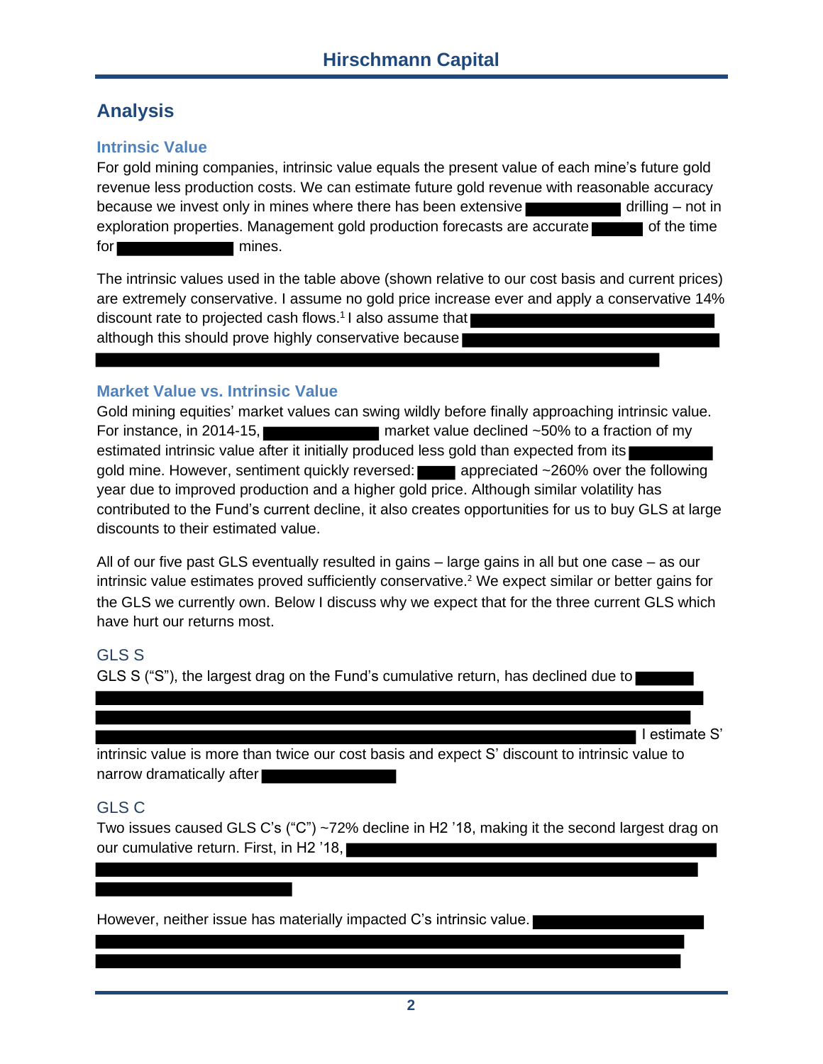# **Analysis**

### **Intrinsic Value**

For gold mining companies, intrinsic value equals the present value of each mine's future gold revenue less production costs. We can estimate future gold revenue with reasonable accuracy because we invest only in mines where there has been extensive  $\blacksquare$  drilling – not in exploration properties. Management gold production forecasts are accurate  $\blacksquare$  of the time for mines.

The intrinsic values used in the table above (shown relative to our cost basis and current prices) are extremely conservative. I assume no gold price increase ever and apply a conservative 14% discount rate to projected cash flows.<sup>1</sup> I also assume that although this should prove highly conservative because

### **Market Value vs. Intrinsic Value**

Gold mining equities' market values can swing wildly before finally approaching intrinsic value. For instance, in 2014-15, **Exercise 2014-15**, market value declined ~50% to a fraction of my estimated intrinsic value after it initially produced less gold than expected from its gold mine. However, sentiment quickly reversed: appreciated ~260% over the following year due to improved production and a higher gold price. Although similar volatility has contributed to the Fund's current decline, it also creates opportunities for us to buy GLS at large discounts to their estimated value.

All of our five past GLS eventually resulted in gains – large gains in all but one case – as our intrinsic value estimates proved sufficiently conservative. <sup>2</sup> We expect similar or better gains for the GLS we currently own. Below I discuss why we expect that for the three current GLS which have hurt our returns most.

## GLS S

GLS S ("S"), the largest drag on the Fund's cumulative return, has declined due to

■ I estimate S'

intrinsic value is more than twice our cost basis and expect S' discount to intrinsic value to narrow dramatically after

## GLS C

Two issues caused GLS C's ("C") ~72% decline in H2 '18, making it the second largest drag on our cumulative return. First, in H2 '18,

However, neither issue has materially impacted C's intrinsic value.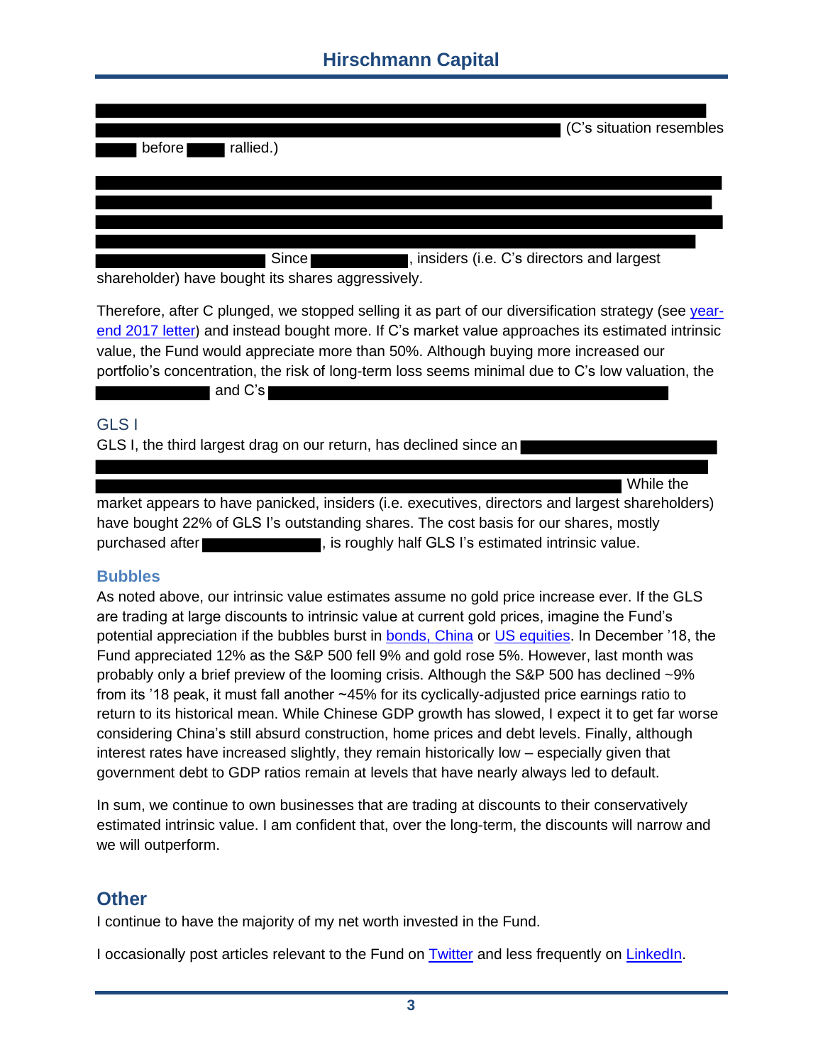# **Hirschmann Capital**

| rallied.)<br>before | C's situation resembles |
|---------------------|-------------------------|
|                     |                         |

Since **Constants**, insiders (i.e. C's directors and largest

shareholder) have bought its shares aggressively.

Therefore, after C plunged, we stopped selling it as part of our diversification strategy (see [year](https://www.hcapital.llc/partner-letters)[end 2017 letter](https://www.hcapital.llc/partner-letters)) and instead bought more. If C's market value approaches its estimated intrinsic value, the Fund would appreciate more than 50%. Although buying more increased our portfolio's concentration, the risk of long-term loss seems minimal due to C's low valuation, the

#### and C's

### GLS I

GLS I, the third largest drag on our return, has declined since an

■ While the

market appears to have panicked, insiders (i.e. executives, directors and largest shareholders) have bought 22% of GLS I's outstanding shares. The cost basis for our shares, mostly purchased after **the state of the state of the state** , is roughly half GLS I's estimated intrinsic value.

### **Bubbles**

As noted above, our intrinsic value estimates assume no gold price increase ever. If the GLS are trading at large discounts to intrinsic value at current gold prices, imagine the Fund's potential appreciation if the bubbles burst in **bonds**, China or [US equities.](https://docs.wixstatic.com/ugd/dc7287_0b510603694043fca0b80f7eeb59d776.pdf) In December '18, the Fund appreciated 12% as the S&P 500 fell 9% and gold rose 5%. However, last month was probably only a brief preview of the looming crisis. Although the S&P 500 has declined ~9% from its '18 peak, it must fall another ~45% for its cyclically-adjusted price earnings ratio to return to its historical mean. While Chinese GDP growth has slowed, I expect it to get far worse considering China's still absurd construction, home prices and debt levels. Finally, although interest rates have increased slightly, they remain historically low – especially given that government debt to GDP ratios remain at levels that have nearly always led to default.

In sum, we continue to own businesses that are trading at discounts to their conservatively estimated intrinsic value. I am confident that, over the long-term, the discounts will narrow and we will outperform.

## **Other**

I continue to have the majority of my net worth invested in the Fund.

I occasionally post articles relevant to the Fund on [Twitter](https://twitter.com/HCapitalLLC/) and less frequently on [LinkedIn.](https://www.linkedin.com/in/brianhirschmann)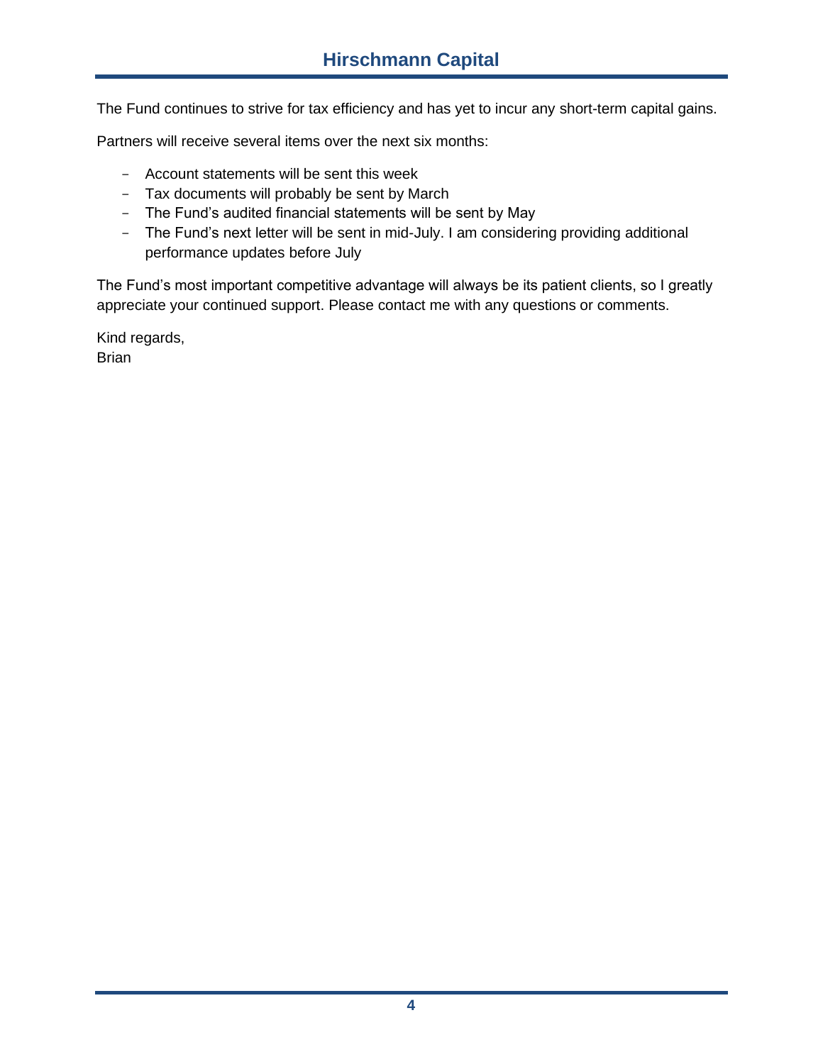The Fund continues to strive for tax efficiency and has yet to incur any short-term capital gains.

Partners will receive several items over the next six months:

- Account statements will be sent this week
- Tax documents will probably be sent by March
- The Fund's audited financial statements will be sent by May
- The Fund's next letter will be sent in mid-July. I am considering providing additional performance updates before July

The Fund's most important competitive advantage will always be its patient clients, so I greatly appreciate your continued support. Please contact me with any questions or comments.

Kind regards, Brian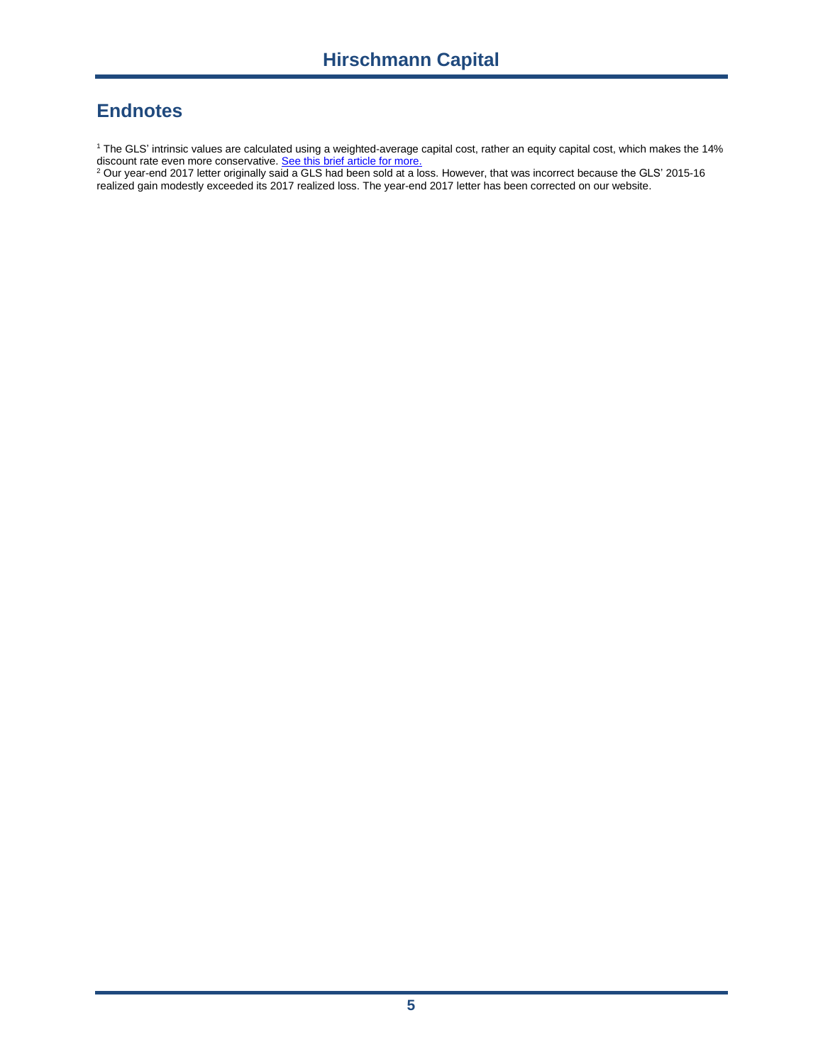# **Endnotes**

<sup>1</sup> The GLS' intrinsic values are calculated using a weighted-average capital cost, rather an equity capital cost, which makes the 14% discount rate even more conservative[. See this brief article for more.](https://www.quora.com/Why-is-the-WACC-and-not-the-cost-of-equity-used-in-discounted-cash-flow-analysis)

 $^2$  Our year-end 2017 letter originally said a GLS had been sold at a loss. However, that was incorrect because the GLS' 2015-16 realized gain modestly exceeded its 2017 realized loss. The year-end 2017 letter has been corrected on our website.